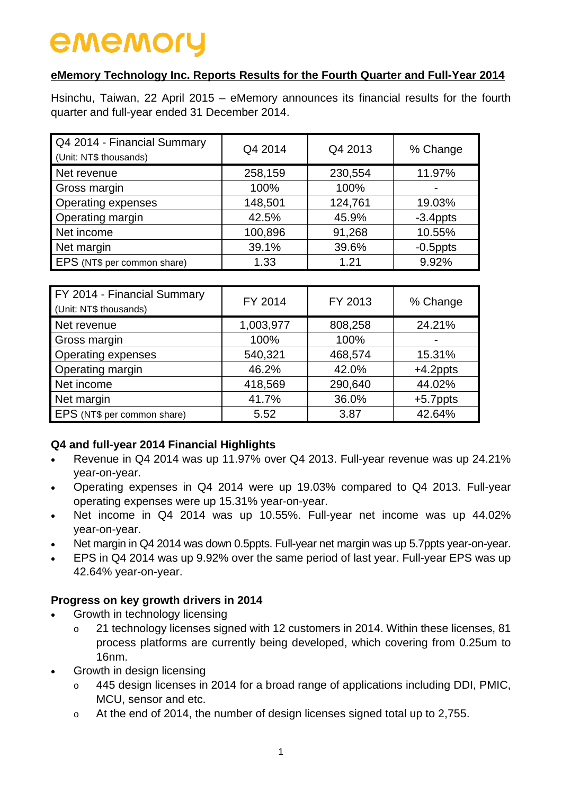# **eMemory Technology Inc. Reports Results for the Fourth Quarter and Full-Year 2014**

Hsinchu, Taiwan, 22 April 2015 – eMemory announces its financial results for the fourth quarter and full-year ended 31 December 2014.

| Q4 2014 - Financial Summary<br>(Unit: NT\$ thousands) | Q4 2014 | Q4 2013 | % Change                 |
|-------------------------------------------------------|---------|---------|--------------------------|
| Net revenue                                           | 258,159 | 230,554 | 11.97%                   |
| Gross margin                                          | 100%    | 100%    | $\overline{\phantom{0}}$ |
| <b>Operating expenses</b>                             | 148,501 | 124,761 | 19.03%                   |
| Operating margin                                      | 42.5%   | 45.9%   | $-3.4$ ppts              |
| Net income                                            | 100,896 | 91,268  | 10.55%                   |
| Net margin                                            | 39.1%   | 39.6%   | $-0.5$ ppts              |
| EPS (NT\$ per common share)                           | 1.33    | 1.21    | 9.92%                    |

| FY 2014 - Financial Summary<br>(Unit: NT\$ thousands) | FY 2014   | FY 2013 | % Change    |
|-------------------------------------------------------|-----------|---------|-------------|
| Net revenue                                           | 1,003,977 | 808,258 | 24.21%      |
| Gross margin                                          | 100%      | 100%    |             |
| <b>Operating expenses</b>                             | 540,321   | 468,574 | 15.31%      |
| Operating margin                                      | 46.2%     | 42.0%   | $+4.2$ ppts |
| Net income                                            | 418,569   | 290,640 | 44.02%      |
| Net margin                                            | 41.7%     | 36.0%   | $+5.7$ ppts |
| EPS (NT\$ per common share)                           | 5.52      | 3.87    | 42.64%      |

# **Q4 and full-year 2014 Financial Highlights**

- Revenue in Q4 2014 was up 11.97% over Q4 2013. Full-year revenue was up 24.21% year-on-year.
- Operating expenses in Q4 2014 were up 19.03% compared to Q4 2013. Full-year operating expenses were up 15.31% year-on-year.
- Net income in Q4 2014 was up 10.55%. Full-year net income was up 44.02% year-on-year.
- Net margin in Q4 2014 was down 0.5ppts. Full-year net margin was up 5.7ppts year-on-year.
- EPS in Q4 2014 was up 9.92% over the same period of last year. Full-year EPS was up 42.64% year-on-year.

# **Progress on key growth drivers in 2014**

- Growth in technology licensing
	- o 21 technology licenses signed with 12 customers in 2014. Within these licenses, 81 process platforms are currently being developed, which covering from 0.25um to 16nm.
- Growth in design licensing
	- 445 design licenses in 2014 for a broad range of applications including DDI, PMIC, MCU, sensor and etc.
	- o At the end of 2014, the number of design licenses signed total up to 2,755.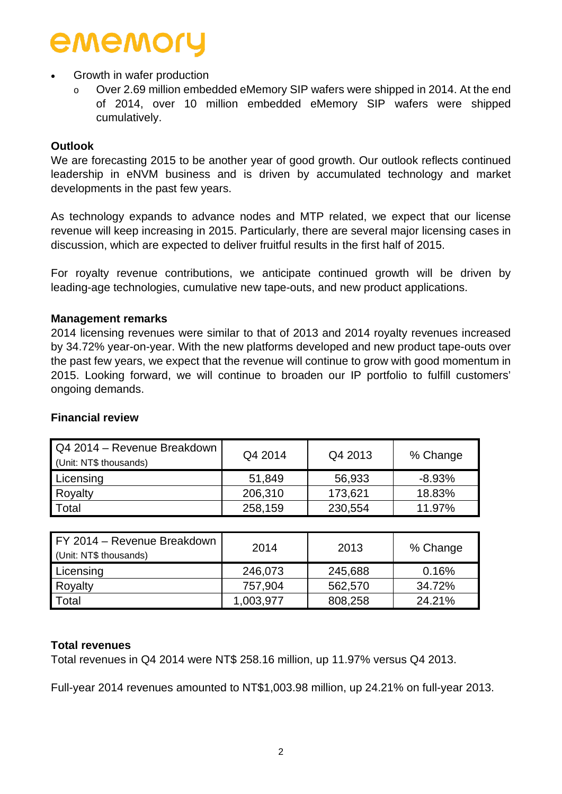# • Growth in wafer production

Over 2.69 million embedded eMemory SIP wafers were shipped in 2014. At the end of 2014, over 10 million embedded eMemory SIP wafers were shipped cumulatively.

## **Outlook**

We are forecasting 2015 to be another year of good growth. Our outlook reflects continued leadership in eNVM business and is driven by accumulated technology and market developments in the past few years.

As technology expands to advance nodes and MTP related, we expect that our license revenue will keep increasing in 2015. Particularly, there are several major licensing cases in discussion, which are expected to deliver fruitful results in the first half of 2015.

For royalty revenue contributions, we anticipate continued growth will be driven by leading-age technologies, cumulative new tape-outs, and new product applications.

## **Management remarks**

2014 licensing revenues were similar to that of 2013 and 2014 royalty revenues increased by 34.72% year-on-year. With the new platforms developed and new product tape-outs over the past few years, we expect that the revenue will continue to grow with good momentum in 2015. Looking forward, we will continue to broaden our IP portfolio to fulfill customers' ongoing demands.

| Q4 2014 – Revenue Breakdown<br>(Unit: NT\$ thousands) | Q4 2014 | Q4 2013 | % Change  |
|-------------------------------------------------------|---------|---------|-----------|
| Licensing                                             | 51,849  | 56,933  | $-8.93\%$ |
| Royalty                                               | 206,310 | 173,621 | 18.83%    |
| Total                                                 | 258,159 | 230,554 | 11.97%    |

## **Financial review**

| FY 2014 - Revenue Breakdown<br>(Unit: NT\$ thousands) | 2014      | 2013    | % Change |
|-------------------------------------------------------|-----------|---------|----------|
| Licensing                                             | 246,073   | 245,688 | 0.16%    |
| Royalty                                               | 757,904   | 562,570 | 34.72%   |
| Total                                                 | 1,003,977 | 808,258 | 24.21%   |

# **Total revenues**

Total revenues in Q4 2014 were NT\$ 258.16 million, up 11.97% versus Q4 2013.

Full-year 2014 revenues amounted to NT\$1,003.98 million, up 24.21% on full-year 2013.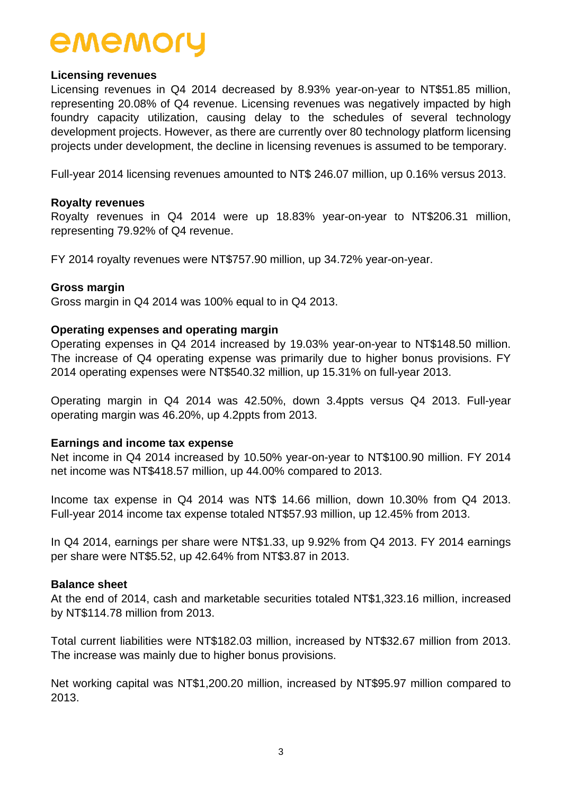### **Licensing revenues**

Licensing revenues in Q4 2014 decreased by 8.93% year-on-year to NT\$51.85 million, representing 20.08% of Q4 revenue. Licensing revenues was negatively impacted by high foundry capacity utilization, causing delay to the schedules of several technology development projects. However, as there are currently over 80 technology platform licensing projects under development, the decline in licensing revenues is assumed to be temporary.

Full-year 2014 licensing revenues amounted to NT\$ 246.07 million, up 0.16% versus 2013.

### **Royalty revenues**

Royalty revenues in Q4 2014 were up 18.83% year-on-year to NT\$206.31 million, representing 79.92% of Q4 revenue.

FY 2014 royalty revenues were NT\$757.90 million, up 34.72% year-on-year.

### **Gross margin**

Gross margin in Q4 2014 was 100% equal to in Q4 2013.

### **Operating expenses and operating margin**

Operating expenses in Q4 2014 increased by 19.03% year-on-year to NT\$148.50 million. The increase of Q4 operating expense was primarily due to higher bonus provisions. FY 2014 operating expenses were NT\$540.32 million, up 15.31% on full-year 2013.

Operating margin in Q4 2014 was 42.50%, down 3.4ppts versus Q4 2013. Full-year operating margin was 46.20%, up 4.2ppts from 2013.

#### **Earnings and income tax expense**

Net income in Q4 2014 increased by 10.50% year-on-year to NT\$100.90 million. FY 2014 net income was NT\$418.57 million, up 44.00% compared to 2013.

Income tax expense in Q4 2014 was NT\$ 14.66 million, down 10.30% from Q4 2013. Full-year 2014 income tax expense totaled NT\$57.93 million, up 12.45% from 2013.

In Q4 2014, earnings per share were NT\$1.33, up 9.92% from Q4 2013. FY 2014 earnings per share were NT\$5.52, up 42.64% from NT\$3.87 in 2013.

#### **Balance sheet**

At the end of 2014, cash and marketable securities totaled NT\$1,323.16 million, increased by NT\$114.78 million from 2013.

Total current liabilities were NT\$182.03 million, increased by NT\$32.67 million from 2013. The increase was mainly due to higher bonus provisions.

Net working capital was NT\$1,200.20 million, increased by NT\$95.97 million compared to 2013.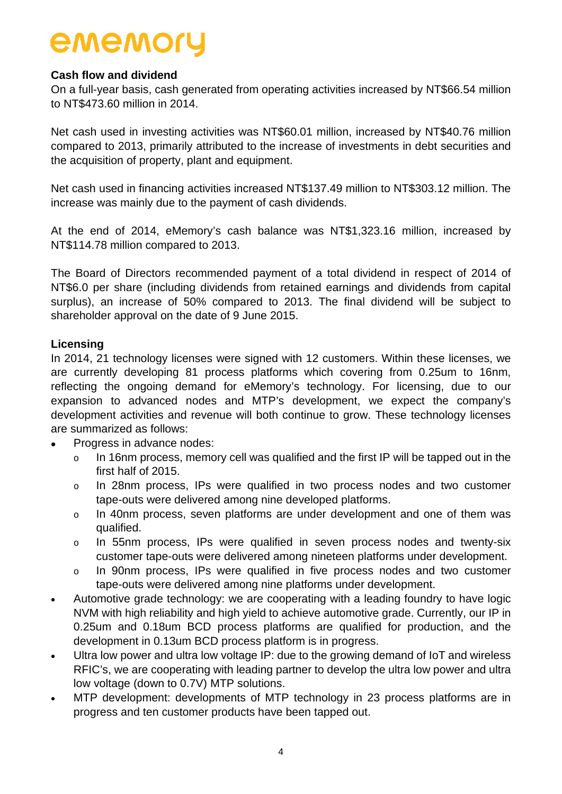# **Cash flow and dividend**

On a full-year basis, cash generated from operating activities increased by NT\$66.54 million to NT\$473.60 million in 2014.

Net cash used in investing activities was NT\$60.01 million, increased by NT\$40.76 million compared to 2013, primarily attributed to the increase of investments in debt securities and the acquisition of property, plant and equipment.

Net cash used in financing activities increased NT\$137.49 million to NT\$303.12 million. The increase was mainly due to the payment of cash dividends.

At the end of 2014, eMemory's cash balance was NT\$1,323.16 million, increased by NT\$114.78 million compared to 2013.

The Board of Directors recommended payment of a total dividend in respect of 2014 of NT\$6.0 per share (including dividends from retained earnings and dividends from capital surplus), an increase of 50% compared to 2013. The final dividend will be subject to shareholder approval on the date of 9 June 2015.

## **Licensing**

In 2014, 21 technology licenses were signed with 12 customers. Within these licenses, we are currently developing 81 process platforms which covering from 0.25um to 16nm, reflecting the ongoing demand for eMemory's technology. For licensing, due to our expansion to advanced nodes and MTP's development, we expect the company's development activities and revenue will both continue to grow. These technology licenses are summarized as follows:

- Progress in advance nodes:
	- o In 16nm process, memory cell was qualified and the first IP will be tapped out in the first half of 2015.
	- o In 28nm process, IPs were qualified in two process nodes and two customer tape-outs were delivered among nine developed platforms.
	- o In 40nm process, seven platforms are under development and one of them was qualified.
	- o In 55nm process, IPs were qualified in seven process nodes and twenty-six customer tape-outs were delivered among nineteen platforms under development.
	- o In 90nm process, IPs were qualified in five process nodes and two customer tape-outs were delivered among nine platforms under development.
- Automotive grade technology: we are cooperating with a leading foundry to have logic NVM with high reliability and high yield to achieve automotive grade. Currently, our IP in 0.25um and 0.18um BCD process platforms are qualified for production, and the development in 0.13um BCD process platform is in progress.
- Ultra low power and ultra low voltage IP: due to the growing demand of IoT and wireless RFIC's, we are cooperating with leading partner to develop the ultra low power and ultra low voltage (down to 0.7V) MTP solutions.
- MTP development: developments of MTP technology in 23 process platforms are in progress and ten customer products have been tapped out.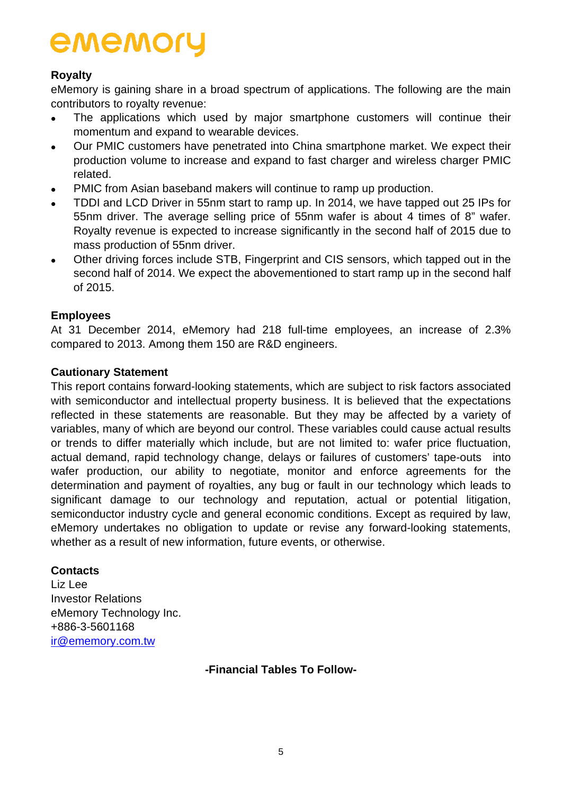# **Royalty**

eMemory is gaining share in a broad spectrum of applications. The following are the main contributors to royalty revenue:

- The applications which used by major smartphone customers will continue their momentum and expand to wearable devices.
- Our PMIC customers have penetrated into China smartphone market. We expect their production volume to increase and expand to fast charger and wireless charger PMIC related.
- PMIC from Asian baseband makers will continue to ramp up production.
- TDDI and LCD Driver in 55nm start to ramp up. In 2014, we have tapped out 25 IPs for 55nm driver. The average selling price of 55nm wafer is about 4 times of 8" wafer. Royalty revenue is expected to increase significantly in the second half of 2015 due to mass production of 55nm driver.
- Other driving forces include STB, Fingerprint and CIS sensors, which tapped out in the second half of 2014. We expect the abovementioned to start ramp up in the second half of 2015.

# **Employees**

At 31 December 2014, eMemory had 218 full-time employees, an increase of 2.3% compared to 2013. Among them 150 are R&D engineers.

# **Cautionary Statement**

This report contains forward-looking statements, which are subject to risk factors associated with semiconductor and intellectual property business. It is believed that the expectations reflected in these statements are reasonable. But they may be affected by a variety of variables, many of which are beyond our control. These variables could cause actual results or trends to differ materially which include, but are not limited to: wafer price fluctuation, actual demand, rapid technology change, delays or failures of customers' tape-outs into wafer production, our ability to negotiate, monitor and enforce agreements for the determination and payment of royalties, any bug or fault in our technology which leads to significant damage to our technology and reputation, actual or potential litigation, semiconductor industry cycle and general economic conditions. Except as required by law, eMemory undertakes no obligation to update or revise any forward-looking statements, whether as a result of new information, future events, or otherwise.

## **Contacts**

Liz Lee Investor Relations eMemory Technology Inc. +886-3-5601168 [ir@ememory.com.tw](mailto:ir@ememory.com.tw)

**-Financial Tables To Follow-**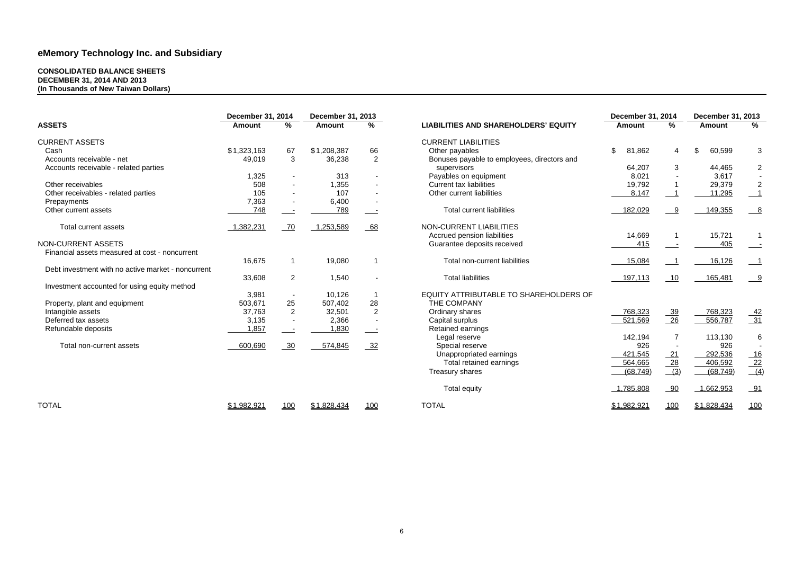#### **CONSOLIDATED BALANCE SHEETS DECEMBER 31, 2014 AND 2013 (In Thousands of New Taiwan Dollars)**

| <b>December 31, 2014</b>                           |               |                          | <b>December 31, 2013</b> |                          |                                             | <b>December 31, 2014</b> | <b>December 31, 2013</b> |               |                  |
|----------------------------------------------------|---------------|--------------------------|--------------------------|--------------------------|---------------------------------------------|--------------------------|--------------------------|---------------|------------------|
| <b>ASSETS</b>                                      | <b>Amount</b> | %                        | <b>Amount</b>            | $\%$                     | <b>LIABILITIES AND SHAREHOLDERS' EQUITY</b> | <b>Amount</b>            | %                        | <b>Amount</b> | %                |
| <b>CURRENT ASSETS</b>                              |               |                          |                          |                          | <b>CURRENT LIABILITIES</b>                  |                          |                          |               |                  |
| Cash                                               | \$1,323,163   | 67                       | \$1,208,387              | 66                       | Other payables                              | \$<br>81,862             | 4                        | 60,599        | 3                |
| Accounts receivable - net                          | 49,019        | $\mathbf{3}$             | 36,238                   | 2                        | Bonuses payable to employees, directors and |                          |                          |               |                  |
| Accounts receivable - related parties              |               |                          |                          |                          | supervisors                                 | 64,207                   | 3                        | 44,465        | $\overline{2}$   |
|                                                    | 1,325         |                          | 313                      |                          | Payables on equipment                       | 8,021                    |                          | 3,617         |                  |
| Other receivables                                  | 508           |                          | 1,355                    |                          | <b>Current tax liabilities</b>              | 19,792                   |                          | 29,379        | $\overline{2}$   |
| Other receivables - related parties                | 105           |                          | 107                      |                          | Other current liabilities                   | 8,147                    |                          | 11,295        |                  |
| Prepayments                                        | 7,363         |                          | 6,400                    |                          |                                             |                          |                          |               |                  |
| Other current assets                               | 748           | $\overline{\phantom{a}}$ | 789                      | $\equiv$ $\equiv$        | <b>Total current liabilities</b>            | 182,029                  | 9                        | 149,355       | $\frac{8}{2}$    |
| <b>Total current assets</b>                        | 1,382,231     | 70                       | 1,253,589                | $-68$                    | <b>NON-CURRENT LIABILITIES</b>              |                          |                          |               |                  |
|                                                    |               |                          |                          |                          | Accrued pension liabilities                 | 14,669                   |                          | 15,721        |                  |
| <b>NON-CURRENT ASSETS</b>                          |               |                          |                          |                          | Guarantee deposits received                 | 415                      | $\overline{\phantom{a}}$ | 405           |                  |
| Financial assets measured at cost - noncurrent     |               |                          |                          |                          |                                             |                          |                          |               |                  |
|                                                    | 16,675        | -1                       | 19,080                   |                          | Total non-current liabilities               | 15,084                   |                          | 16,126        |                  |
| Debt investment with no active market - noncurrent |               |                          |                          |                          |                                             |                          |                          |               |                  |
|                                                    | 33,608        | $\overline{2}$           | 1,540                    | $\blacksquare$           | <b>Total liabilities</b>                    | 197,113                  | 10                       | 165,481       |                  |
| Investment accounted for using equity method       |               |                          |                          |                          |                                             |                          |                          |               |                  |
|                                                    | 3,981         |                          | 10,126                   |                          | EQUITY ATTRIBUTABLE TO SHAREHOLDERS OF      |                          |                          |               |                  |
| Property, plant and equipment                      | 503,671       | 25                       | 507,402                  | 28                       | THE COMPANY                                 |                          |                          |               |                  |
| Intangible assets                                  | 37,763        | 2                        | 32,501                   | $\overline{2}$           | Ordinary shares                             | 768,323                  |                          | 768,323       |                  |
| Deferred tax assets                                | 3,135         |                          | 2,366                    |                          | Capital surplus                             | 521,569                  | $\frac{39}{26}$          | 556,787       | $\frac{42}{31}$  |
| Refundable deposits                                | 1,857         |                          | 1,830                    | $\overline{\phantom{a}}$ | Retained earnings                           |                          |                          |               |                  |
|                                                    |               |                          |                          |                          | Legal reserve                               | 142,194                  |                          | 113,130       | $6\phantom{1}6$  |
| Total non-current assets                           | 600,690       | 30                       | 574,845                  | 32                       | Special reserve                             | 926                      | $\overline{\phantom{a}}$ | 926           |                  |
|                                                    |               |                          |                          |                          | Unappropriated earnings                     | 421,545                  | $\frac{21}{1}$           | 292,536       |                  |
|                                                    |               |                          |                          |                          | Total retained earnings                     | 564,665                  |                          | 406,592       | $\frac{16}{22}$  |
|                                                    |               |                          |                          |                          | Treasury shares                             | (68, 749)                | $\frac{28}{(3)}$         | (68, 749)     | $\overline{(4)}$ |
|                                                    |               |                          |                          |                          | <b>Total equity</b>                         | 1,785,808                | 90                       | 1,662,953     | $-91$            |
| <b>TOTAL</b>                                       | \$1,982,921   | 100                      | \$1,828,434              | 100                      | <b>TOTAL</b>                                | \$1,982,921              | 100                      | \$1,828,434   | 100              |
|                                                    |               |                          |                          |                          |                                             |                          |                          |               |                  |

|                                                                                   | <b>December 31, 2014</b> |                         | December 31, 2013 |                 |  |  |
|-----------------------------------------------------------------------------------|--------------------------|-------------------------|-------------------|-----------------|--|--|
| <b>ITIES AND SHAREHOLDERS' EQUITY</b>                                             | <b>Amount</b>            | %                       | <b>Amount</b>     | %               |  |  |
| <b>ENT LIABILITIES</b><br>er payables<br>uses payable to employees, directors and | \$<br>81,862             | $\overline{\mathbf{4}}$ | \$<br>60,599      | 3               |  |  |
| pervisors                                                                         | 64,207                   | 3                       | 44,465            | $\overline{2}$  |  |  |
| ables on equipment                                                                | 8,021                    |                         | 3,617             |                 |  |  |
| ent tax liabilities                                                               | 19,792                   | 1                       | 29,379            | $\mathbf{2}$    |  |  |
| er current liabilities                                                            | 8,147                    | 1                       | 11,295            | $\mathbf 1$     |  |  |
| <b>Total current liabilities</b>                                                  | 182,029                  | 9                       | 149,355           | 8               |  |  |
| <b>URRENT LIABILITIES</b><br>ued pension liabilities<br>rantee deposits received  | 14,669<br>415            | 1                       | 15,721<br>405     | 1               |  |  |
| <b>Total non-current liabilities</b>                                              | 15,084                   | 1                       | 16,126            | $\mathbf{1}$    |  |  |
| <b>Total liabilities</b>                                                          | 197,113                  | 10                      | 165,481           | 9               |  |  |
| Y ATTRIBUTABLE TO SHAREHOLDERS OF<br><b>COMPANY</b>                               |                          |                         |                   |                 |  |  |
| nary shares                                                                       | 768,323                  | <u>39</u>               | 768,323           |                 |  |  |
| tal surplus                                                                       | 521,569                  | 26                      | 556,787           | $\frac{42}{31}$ |  |  |
| ined earnings                                                                     |                          |                         |                   |                 |  |  |
| gal reserve                                                                       | 142,194                  | 7                       | 113,130           | 6               |  |  |
| ecial reserve                                                                     | 926                      |                         | 926               |                 |  |  |
| nappropriated earnings                                                            | 421,545                  | 21                      | 292,536           | 16              |  |  |
| Total retained earnings                                                           | 564,665                  | <u>28</u>               | 406,592           | 22              |  |  |
| sury shares                                                                       | (68, 749)                | (3)                     | (68, 749)         | (4)             |  |  |
| <b>Total equity</b>                                                               | 1,785,808                | 90                      | 1,662,953         | 91              |  |  |
|                                                                                   | \$1,982,921              | 100                     | \$1,828,434       | 100             |  |  |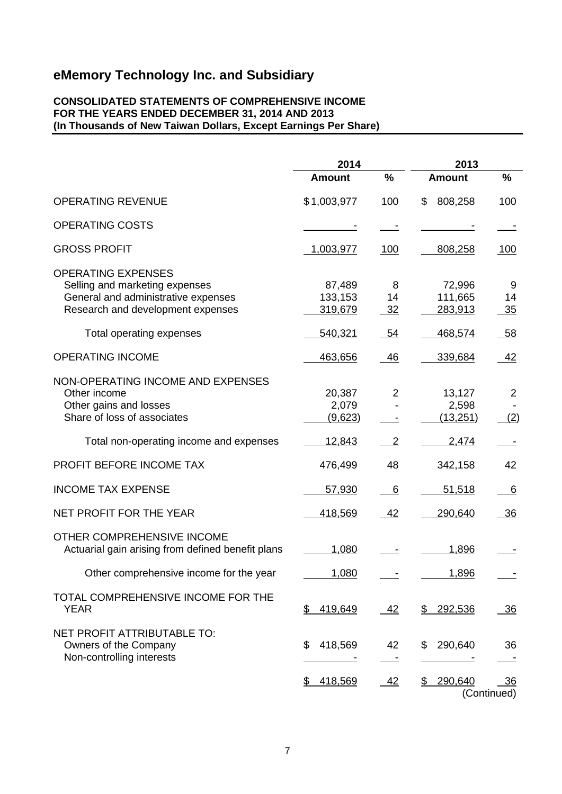### **CONSOLIDATED STATEMENTS OF COMPREHENSIVE INCOME FOR THE YEARS ENDED DECEMBER 31, 2014 AND 2013 (In Thousands of New Taiwan Dollars, Except Earnings Per Share)**

|                                                                                                                                         | 2014                         |                | 2013                         |                               |  |
|-----------------------------------------------------------------------------------------------------------------------------------------|------------------------------|----------------|------------------------------|-------------------------------|--|
|                                                                                                                                         | <b>Amount</b>                | $\%$           | <b>Amount</b>                | $\%$                          |  |
| <b>OPERATING REVENUE</b>                                                                                                                | \$1,003,977                  | 100            | \$<br>808,258                | 100                           |  |
| <b>OPERATING COSTS</b>                                                                                                                  |                              |                |                              |                               |  |
| <b>GROSS PROFIT</b>                                                                                                                     | 1,003,977                    | <u>100</u>     | 808,258                      | 100                           |  |
| <b>OPERATING EXPENSES</b><br>Selling and marketing expenses<br>General and administrative expenses<br>Research and development expenses | 87,489<br>133,153<br>319,679 | 8<br>14<br>32  | 72,996<br>111,665<br>283,913 | 9<br>14<br>35                 |  |
| Total operating expenses                                                                                                                | 540,321                      | 54             | 468,574                      | 58                            |  |
| <b>OPERATING INCOME</b>                                                                                                                 | 463,656                      | <u>46</u>      | 339,684                      | 42                            |  |
| NON-OPERATING INCOME AND EXPENSES<br>Other income<br>Other gains and losses<br>Share of loss of associates                              | 20,387<br>2,079<br>(9,623)   | $\overline{2}$ | 13,127<br>2,598<br>(13, 251) | $\overline{2}$<br>(2)         |  |
| Total non-operating income and expenses                                                                                                 | 12,843                       | $\overline{2}$ | 2,474                        |                               |  |
| PROFIT BEFORE INCOME TAX                                                                                                                | 476,499                      | 48             | 342,158                      | 42                            |  |
| <b>INCOME TAX EXPENSE</b>                                                                                                               | 57,930                       | 6              | 51,518                       | 6                             |  |
| NET PROFIT FOR THE YEAR                                                                                                                 | 418,569                      | <u>42</u>      | 290,640                      | - 36                          |  |
| OTHER COMPREHENSIVE INCOME<br>Actuarial gain arising from defined benefit plans                                                         | 1,080                        |                | 1,896                        |                               |  |
| Other comprehensive income for the year                                                                                                 | 1,080                        |                | 1,896                        |                               |  |
| TOTAL COMPREHENSIVE INCOME FOR THE<br><b>YEAR</b>                                                                                       | 419,649<br>\$                | 42             | \$<br>292,536                | <u>36</u>                     |  |
| NET PROFIT ATTRIBUTABLE TO:<br>Owners of the Company<br>Non-controlling interests                                                       | 418,569<br>\$                | 42             | 290,640<br>\$                | 36                            |  |
|                                                                                                                                         | 418,569<br>\$                | 42             | \$290,640                    | $\frac{36}{5}$<br>(Continued) |  |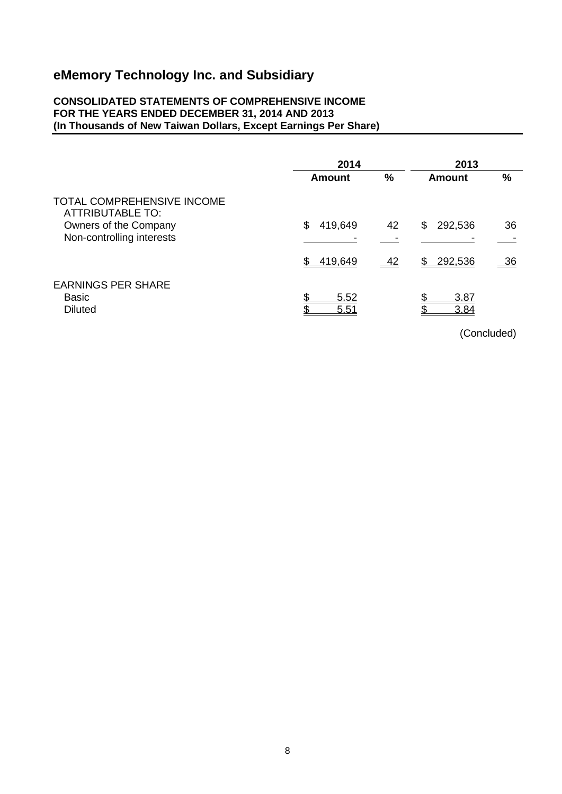### **CONSOLIDATED STATEMENTS OF COMPREHENSIVE INCOME FOR THE YEARS ENDED DECEMBER 31, 2014 AND 2013 (In Thousands of New Taiwan Dollars, Except Earnings Per Share)**

| 2014                    |    | 2013          |           |
|-------------------------|----|---------------|-----------|
| Amount                  | %  | <b>Amount</b> | %         |
|                         |    |               |           |
| \$<br>419,649           | 42 | 292,536<br>\$ | 36        |
|                         |    |               |           |
| \$<br>419,649           | 42 | 292,536<br>\$ | <u>36</u> |
| \$<br>5.52<br>ጥ<br>5.51 |    | 3.87<br>3.84  |           |
|                         |    |               |           |

(Concluded)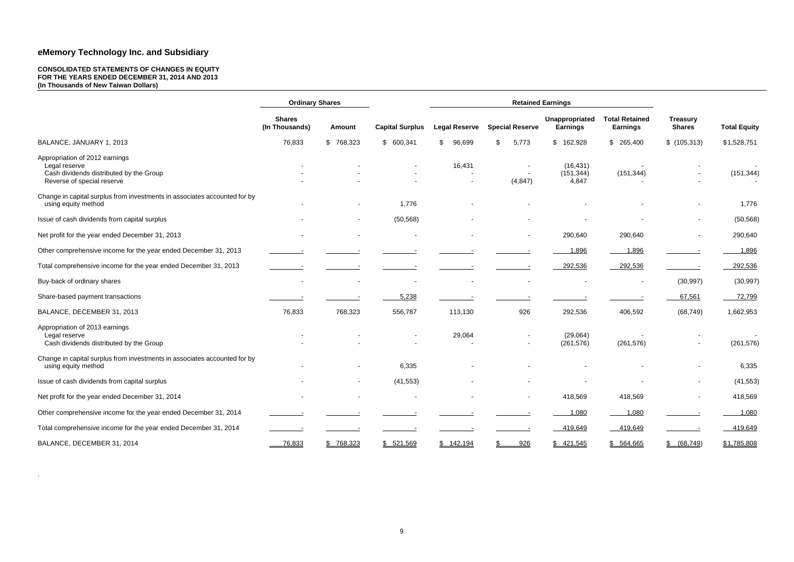#### **CONSOLIDATED STATEMENTS OF CHANGES IN EQUITY FOR THE YEARS ENDED DECEMBER 31, 2014 AND 2013 (In Thousands of New Taiwan Dollars)**

|                                                                                                                          | <b>Ordinary Shares</b>          |               |                          |                      | <b>Retained Earnings</b> |                                   |                                          |                                  |                      |
|--------------------------------------------------------------------------------------------------------------------------|---------------------------------|---------------|--------------------------|----------------------|--------------------------|-----------------------------------|------------------------------------------|----------------------------------|----------------------|
|                                                                                                                          | <b>Shares</b><br>(In Thousands) | <b>Amount</b> | <b>Capital Surplus</b>   | <b>Legal Reserve</b> | <b>Special Reserve</b>   | Unappropriated<br><b>Earnings</b> | <b>Total Retained</b><br><b>Earnings</b> | <b>Treasury</b><br><b>Shares</b> | <b>Total Equity</b>  |
| BALANCE, JANUARY 1, 2013                                                                                                 | 76,833                          | \$768,323     | \$600,341                | 96,699               | 5,773<br>\$              | \$162,928                         | \$<br>265,400                            | \$(105,313)                      | \$1,528,751          |
| Appropriation of 2012 earnings<br>Legal reserve<br>Cash dividends distributed by the Group<br>Reverse of special reserve |                                 |               |                          | 16,431               | (4, 847)                 | (16, 431)<br>(151, 344)<br>4,847  | (151, 344)                               |                                  | $\sim$<br>(151, 344) |
| Change in capital surplus from investments in associates accounted for by<br>using equity method                         |                                 |               | 1,776                    |                      |                          |                                   |                                          |                                  | 1,776                |
| Issue of cash dividends from capital surplus                                                                             |                                 |               | (50, 568)                |                      |                          |                                   |                                          |                                  | (50, 568)            |
| Net profit for the year ended December 31, 2013                                                                          |                                 |               |                          |                      |                          | 290,640                           | 290,640                                  | $\overline{\phantom{a}}$         | 290,640              |
| Other comprehensive income for the year ended December 31, 2013                                                          |                                 |               |                          |                      |                          | 1,896                             | 1,896                                    |                                  | 1,896                |
| Total comprehensive income for the year ended December 31, 2013                                                          |                                 |               |                          |                      |                          | 292,536                           | 292,536                                  |                                  | 292,536              |
| Buy-back of ordinary shares                                                                                              | $\blacksquare$                  |               | $\overline{\phantom{a}}$ |                      |                          |                                   | $\blacksquare$                           | (30, 997)                        | (30, 997)            |
| Share-based payment transactions                                                                                         |                                 |               | 5,238                    |                      |                          |                                   |                                          | 67,561                           | 72,799               |
| BALANCE, DECEMBER 31, 2013                                                                                               | 76,833                          | 768,323       | 556,787                  | 113,130              | 926                      | 292,536                           | 406,592                                  | (68, 749)                        | 1,662,953            |
| Appropriation of 2013 earnings<br>Legal reserve<br>Cash dividends distributed by the Group                               |                                 |               |                          | 29,064               |                          | (29,064)<br>(261, 576)            | (261, 576)                               |                                  | (261, 576)           |
| Change in capital surplus from investments in associates accounted for by<br>using equity method                         |                                 |               | 6,335                    |                      |                          |                                   |                                          |                                  | 6,335                |
| Issue of cash dividends from capital surplus                                                                             |                                 |               | (41, 553)                |                      |                          |                                   |                                          |                                  | (41, 553)            |
| Net profit for the year ended December 31, 2014                                                                          | $\overline{\phantom{a}}$        |               | $\blacksquare$           |                      |                          | 418,569                           | 418,569                                  | $\sim$                           | 418,569              |
| Other comprehensive income for the year ended December 31, 2014                                                          |                                 |               |                          |                      |                          | 1,080                             | 1,080                                    |                                  | 1,080                |
| Total comprehensive income for the year ended December 31, 2014                                                          |                                 |               |                          |                      |                          | 419,649                           | 419,649                                  |                                  | 419,649              |
| BALANCE, DECEMBER 31, 2014                                                                                               | 76,833                          | \$768,323     | \$ 521,569               | \$142,194            | 926<br>$\frac{1}{2}$     | \$421,545                         | \$ 564,665                               | \$ (68, 749)                     | \$1,785,808          |

.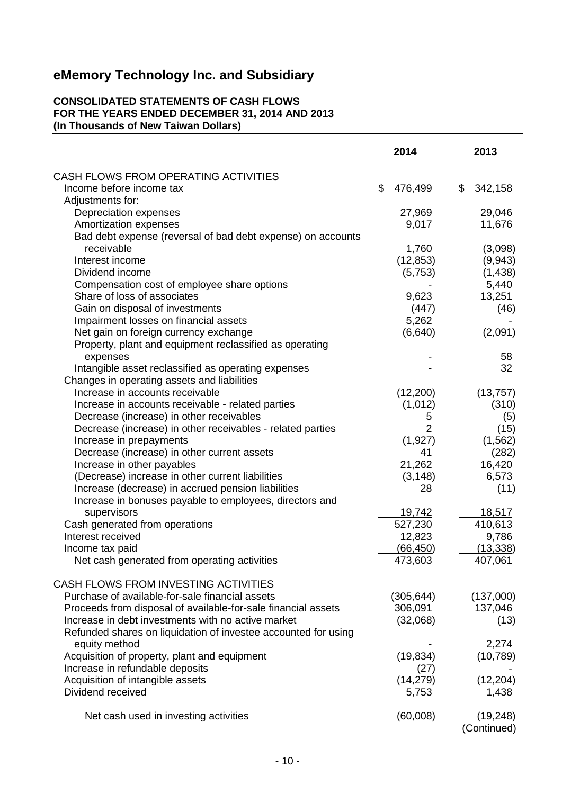### **CONSOLIDATED STATEMENTS OF CASH FLOWS FOR THE YEARS ENDED DECEMBER 31, 2014 AND 2013 (In Thousands of New Taiwan Dollars)**

|                                                                                                               | 2014           | 2013                    |
|---------------------------------------------------------------------------------------------------------------|----------------|-------------------------|
| CASH FLOWS FROM OPERATING ACTIVITIES                                                                          |                |                         |
| Income before income tax                                                                                      | \$<br>476,499  | \$<br>342,158           |
| Adjustments for:                                                                                              |                |                         |
| Depreciation expenses                                                                                         | 27,969         | 29,046                  |
| Amortization expenses                                                                                         | 9,017          | 11,676                  |
| Bad debt expense (reversal of bad debt expense) on accounts                                                   |                |                         |
| receivable                                                                                                    | 1,760          | (3,098)                 |
| Interest income                                                                                               | (12, 853)      | (9,943)                 |
| Dividend income                                                                                               | (5,753)        | (1, 438)                |
| Compensation cost of employee share options                                                                   |                | 5,440                   |
| Share of loss of associates                                                                                   | 9,623          | 13,251                  |
| Gain on disposal of investments                                                                               | (447)          | (46)                    |
| Impairment losses on financial assets                                                                         | 5,262          |                         |
| Net gain on foreign currency exchange                                                                         | (6,640)        | (2,091)                 |
| Property, plant and equipment reclassified as operating                                                       |                |                         |
| expenses                                                                                                      |                | 58                      |
| Intangible asset reclassified as operating expenses                                                           |                | 32                      |
| Changes in operating assets and liabilities                                                                   |                |                         |
| Increase in accounts receivable                                                                               | (12, 200)      | (13, 757)               |
| Increase in accounts receivable - related parties                                                             | (1,012)        | (310)                   |
| Decrease (increase) in other receivables                                                                      | 5              | (5)                     |
| Decrease (increase) in other receivables - related parties                                                    | $\overline{2}$ | (15)                    |
| Increase in prepayments                                                                                       | (1,927)        | (1, 562)                |
| Decrease (increase) in other current assets                                                                   | 41             | (282)                   |
| Increase in other payables                                                                                    | 21,262         | 16,420                  |
| (Decrease) increase in other current liabilities                                                              | (3, 148)<br>28 | 6,573                   |
| Increase (decrease) in accrued pension liabilities<br>Increase in bonuses payable to employees, directors and |                | (11)                    |
| supervisors                                                                                                   | 19,742         | 18,517                  |
| Cash generated from operations                                                                                | 527,230        | 410,613                 |
| Interest received                                                                                             | 12,823         | 9,786                   |
| Income tax paid                                                                                               | (66, 450)      | (13, 338)               |
| Net cash generated from operating activities                                                                  | 473,603        | 407,061                 |
|                                                                                                               |                |                         |
| CASH FLOWS FROM INVESTING ACTIVITIES                                                                          |                |                         |
| Purchase of available-for-sale financial assets                                                               | (305, 644)     | (137,000)               |
| Proceeds from disposal of available-for-sale financial assets                                                 | 306,091        | 137,046                 |
| Increase in debt investments with no active market                                                            | (32,068)       | (13)                    |
| Refunded shares on liquidation of investee accounted for using                                                |                |                         |
| equity method                                                                                                 |                | 2,274                   |
| Acquisition of property, plant and equipment                                                                  | (19, 834)      | (10, 789)               |
| Increase in refundable deposits                                                                               | (27)           |                         |
| Acquisition of intangible assets                                                                              | (14, 279)      | (12, 204)               |
| Dividend received                                                                                             | 5,753          | <u>1,438</u>            |
|                                                                                                               |                |                         |
| Net cash used in investing activities                                                                         | (60,008)       | (19,248)<br>(Continued) |
|                                                                                                               |                |                         |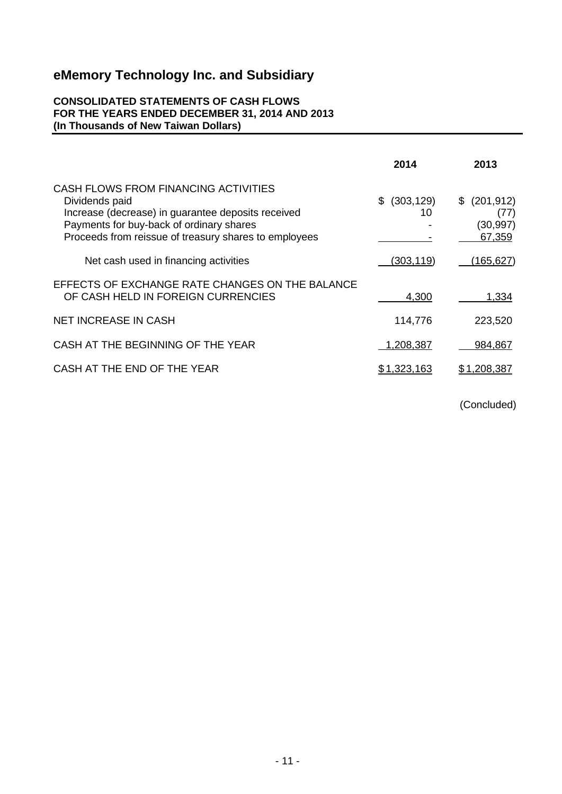### **CONSOLIDATED STATEMENTS OF CASH FLOWS FOR THE YEARS ENDED DECEMBER 31, 2014 AND 2013 (In Thousands of New Taiwan Dollars)**

|                                                                                                                                                                                                                   | 2014                   | 2013                                        |
|-------------------------------------------------------------------------------------------------------------------------------------------------------------------------------------------------------------------|------------------------|---------------------------------------------|
| CASH FLOWS FROM FINANCING ACTIVITIES<br>Dividends paid<br>Increase (decrease) in guarantee deposits received<br>Payments for buy-back of ordinary shares<br>Proceeds from reissue of treasury shares to employees | (303, 129)<br>\$<br>10 | \$ (201, 912)<br>(77)<br>(30,997)<br>67,359 |
| Net cash used in financing activities                                                                                                                                                                             | (303, 119)             | (165,627)                                   |
| EFFECTS OF EXCHANGE RATE CHANGES ON THE BALANCE<br>OF CASH HELD IN FOREIGN CURRENCIES                                                                                                                             | 4,300                  | 1,334                                       |
| <b>NET INCREASE IN CASH</b>                                                                                                                                                                                       | 114,776                | 223,520                                     |
| CASH AT THE BEGINNING OF THE YEAR                                                                                                                                                                                 | 1,208,387              | 984,867                                     |
| CASH AT THE END OF THE YEAR                                                                                                                                                                                       | <u>\$1,323,163</u>     | \$1,208,387                                 |

(Concluded)